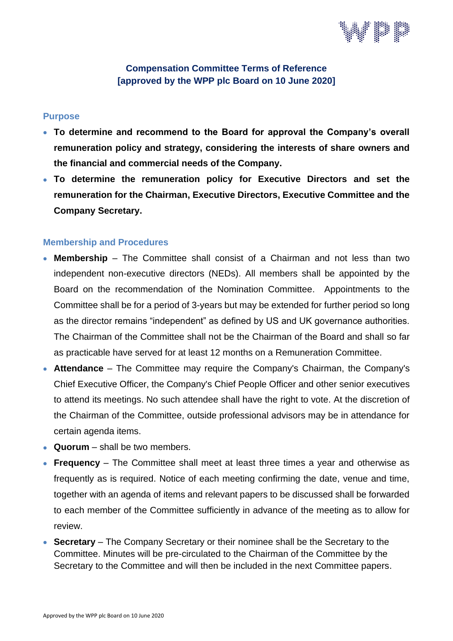

#### **Compensation Committee Terms of Reference [approved by the WPP plc Board on 10 June 2020]**

#### **Purpose**

- **To determine and recommend to the Board for approval the Company's overall remuneration policy and strategy, considering the interests of share owners and the financial and commercial needs of the Company.**
- **To determine the remuneration policy for Executive Directors and set the remuneration for the Chairman, Executive Directors, Executive Committee and the Company Secretary.**

#### **Membership and Procedures**

- **Membership** The Committee shall consist of a Chairman and not less than two independent non-executive directors (NEDs). All members shall be appointed by the Board on the recommendation of the Nomination Committee. Appointments to the Committee shall be for a period of 3-years but may be extended for further period so long as the director remains "independent" as defined by US and UK governance authorities. The Chairman of the Committee shall not be the Chairman of the Board and shall so far as practicable have served for at least 12 months on a Remuneration Committee.
- **Attendance** The Committee may require the Company's Chairman, the Company's Chief Executive Officer, the Company's Chief People Officer and other senior executives to attend its meetings. No such attendee shall have the right to vote. At the discretion of the Chairman of the Committee, outside professional advisors may be in attendance for certain agenda items.
- **Quorum** shall be two members.
- **Frequency** The Committee shall meet at least three times a year and otherwise as frequently as is required. Notice of each meeting confirming the date, venue and time, together with an agenda of items and relevant papers to be discussed shall be forwarded to each member of the Committee sufficiently in advance of the meeting as to allow for review.
- **Secretary** The Company Secretary or their nominee shall be the Secretary to the Committee. Minutes will be pre-circulated to the Chairman of the Committee by the Secretary to the Committee and will then be included in the next Committee papers.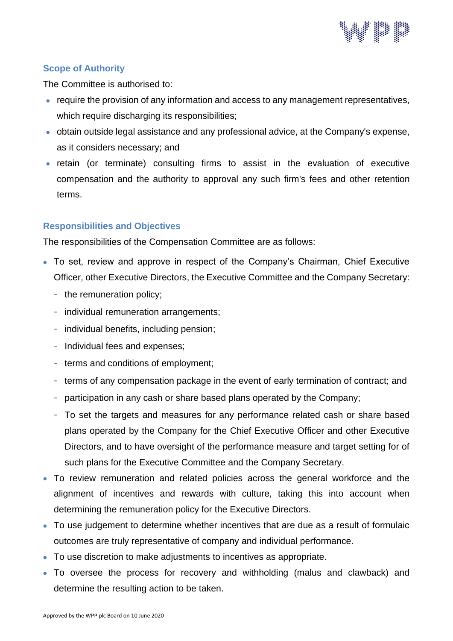

# **Scope of Authority**

The Committee is authorised to:

- require the provision of any information and access to any management representatives, which require discharging its responsibilities;
- obtain outside legal assistance and any professional advice, at the Company's expense, as it considers necessary; and
- retain (or terminate) consulting firms to assist in the evaluation of executive compensation and the authority to approval any such firm's fees and other retention terms.

# **Responsibilities and Objectives**

The responsibilities of the Compensation Committee are as follows:

- To set, review and approve in respect of the Company's Chairman, Chief Executive Officer, other Executive Directors, the Executive Committee and the Company Secretary:
	- the remuneration policy;
	- individual remuneration arrangements;
	- individual benefits, including pension;
	- Individual fees and expenses;
	- terms and conditions of employment;
	- terms of any compensation package in the event of early termination of contract; and
	- participation in any cash or share based plans operated by the Company;
	- To set the targets and measures for any performance related cash or share based plans operated by the Company for the Chief Executive Officer and other Executive Directors, and to have oversight of the performance measure and target setting for of such plans for the Executive Committee and the Company Secretary.
- To review remuneration and related policies across the general workforce and the alignment of incentives and rewards with culture, taking this into account when determining the remuneration policy for the Executive Directors.
- To use judgement to determine whether incentives that are due as a result of formulaic outcomes are truly representative of company and individual performance.
- To use discretion to make adjustments to incentives as appropriate.
- To oversee the process for recovery and withholding (malus and clawback) and determine the resulting action to be taken.